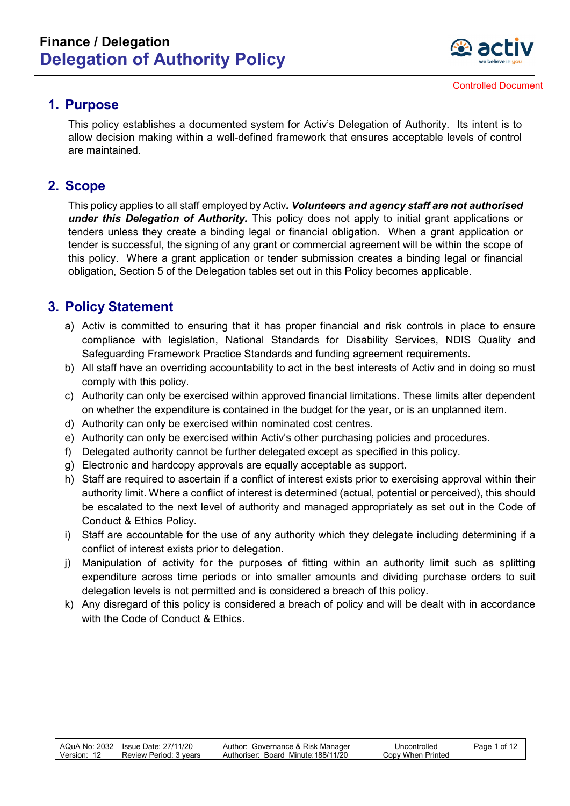

#### **1. Purpose**

This policy establishes a documented system for Activ's Delegation of Authority. Its intent is to allow decision making within a well-defined framework that ensures acceptable levels of control are maintained.

#### **2. Scope**

This policy applies to all staff employed by Activ*. Volunteers and agency staff are not authorised under this Delegation of Authority.* This policy does not apply to initial grant applications or tenders unless they create a binding legal or financial obligation. When a grant application or tender is successful, the signing of any grant or commercial agreement will be within the scope of this policy. Where a grant application or tender submission creates a binding legal or financial obligation, Section 5 of the Delegation tables set out in this Policy becomes applicable.

#### **3. Policy Statement**

- a) Activ is committed to ensuring that it has proper financial and risk controls in place to ensure compliance with legislation, National Standards for Disability Services, NDIS Quality and Safeguarding Framework Practice Standards and funding agreement requirements.
- b) All staff have an overriding accountability to act in the best interests of Activ and in doing so must comply with this policy.
- c) Authority can only be exercised within approved financial limitations. These limits alter dependent on whether the expenditure is contained in the budget for the year, or is an unplanned item.
- d) Authority can only be exercised within nominated cost centres.
- e) Authority can only be exercised within Activ's other purchasing policies and procedures.
- f) Delegated authority cannot be further delegated except as specified in this policy.
- g) Electronic and hardcopy approvals are equally acceptable as support.
- h) Staff are required to ascertain if a conflict of interest exists prior to exercising approval within their authority limit. Where a conflict of interest is determined (actual, potential or perceived), this should be escalated to the next level of authority and managed appropriately as set out in the Code of Conduct & Ethics Policy.
- i) Staff are accountable for the use of any authority which they delegate including determining if a conflict of interest exists prior to delegation.
- j) Manipulation of activity for the purposes of fitting within an authority limit such as splitting expenditure across time periods or into smaller amounts and dividing purchase orders to suit delegation levels is not permitted and is considered a breach of this policy.
- k) Any disregard of this policy is considered a breach of policy and will be dealt with in accordance with the Code of Conduct & Ethics.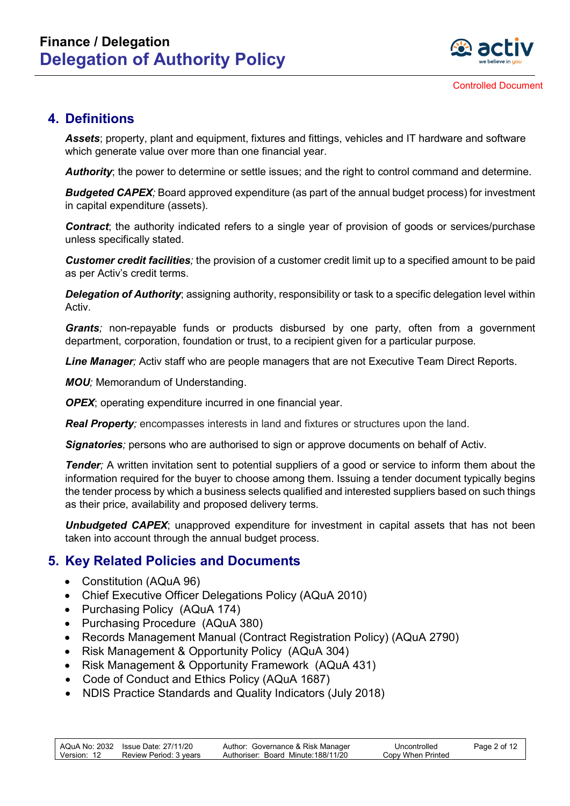

#### **4. Definitions**

*Assets*; property, plant and equipment, fixtures and fittings, vehicles and IT hardware and software which generate value over more than one financial year.

*Authority*; the power to determine or settle issues; and the right to control command and determine.

*Budgeted CAPEX;* Board approved expenditure (as part of the annual budget process) for investment in capital expenditure (assets).

**Contract**; the authority indicated refers to a single year of provision of goods or services/purchase unless specifically stated.

*Customer credit facilities;* the provision of a customer credit limit up to a specified amount to be paid as per Activ's credit terms.

*Delegation of Authority*; assigning authority, responsibility or task to a specific delegation level within Activ.

*Grants;* non-repayable funds or products disbursed by one party, often from a government department, corporation, foundation or trust, to a recipient given for a particular purpose*.* 

*Line Manager;* Activ staff who are people managers that are not Executive Team Direct Reports.

*MOU*; Memorandum of Understanding.

*OPEX*; operating expenditure incurred in one financial year.

*Real Property;* encompasses interests in land and fixtures or structures upon the land.

*Signatories;* persons who are authorised to sign or approve documents on behalf of Activ.

*Tender*; A written invitation sent to potential suppliers of a good or service to inform them about the information required for the buyer to choose among them. Issuing a tender document typically begins the tender process by which a business selects qualified and interested suppliers based on such things as their price, availability and proposed delivery terms.

**Unbudgeted CAPEX**; unapproved expenditure for investment in capital assets that has not been taken into account through the annual budget process.

#### **5. Key Related Policies and Documents**

- Constitution (AQuA 96)
- Chief Executive Officer Delegations Policy (AQuA 2010)
- [Purchasing Policy](http://activnet/Intralogic/content/174.pdf) (AQuA 174)
- Purchasing Procedure (AQuA 380)
- Records Management Manual (Contract Registration Policy) (AQuA 2790)
- Risk Management & Opportunity Policy (AQuA 304)
- Risk Management & Opportunity Framework (AQuA 431)
- Code of Conduct and Ethics Policy (AQuA 1687)
- NDIS Practice Standards and Quality Indicators (July 2018)

|             | AQuA No: 2032 Issue Date: 27/11/20 | Author: Governance & Risk Manager   | Uncontrolled      | Page 2 of 12 |
|-------------|------------------------------------|-------------------------------------|-------------------|--------------|
| Version: 12 | Review Period: 3 years             | Authoriser: Board Minute: 188/11/20 | Copy When Printed |              |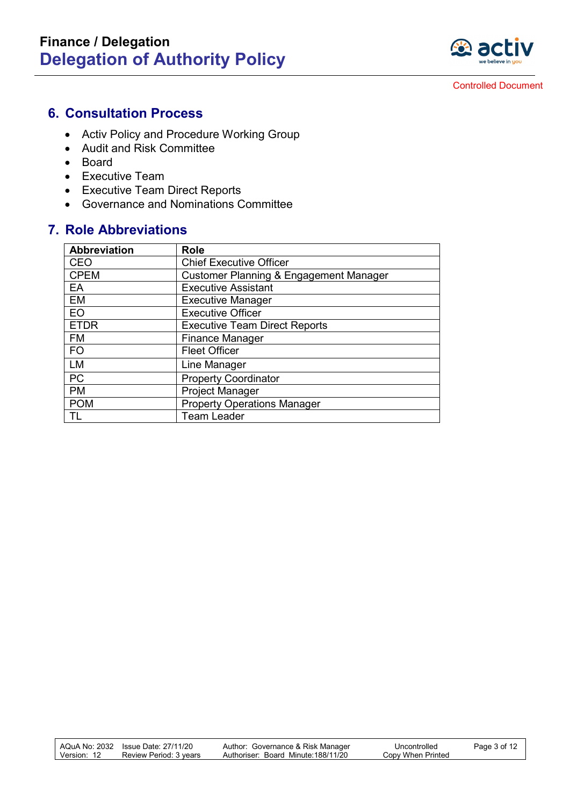

#### **6. Consultation Process**

- Activ Policy and Procedure Working Group
- Audit and Risk Committee
- Board
- Executive Team
- Executive Team Direct Reports
- Governance and Nominations Committee

#### **7. Role Abbreviations**

| <b>Abbreviation</b> | <b>Role</b>                            |
|---------------------|----------------------------------------|
| CEO                 | <b>Chief Executive Officer</b>         |
| <b>CPEM</b>         | Customer Planning & Engagement Manager |
| EA                  | <b>Executive Assistant</b>             |
| EM                  | <b>Executive Manager</b>               |
| EO                  | <b>Executive Officer</b>               |
| <b>ETDR</b>         | <b>Executive Team Direct Reports</b>   |
| <b>FM</b>           | <b>Finance Manager</b>                 |
| <b>FO</b>           | <b>Fleet Officer</b>                   |
| LM                  | Line Manager                           |
| <b>PC</b>           | <b>Property Coordinator</b>            |
| <b>PM</b>           | <b>Project Manager</b>                 |
| <b>POM</b>          | <b>Property Operations Manager</b>     |
|                     | <b>Team Leader</b>                     |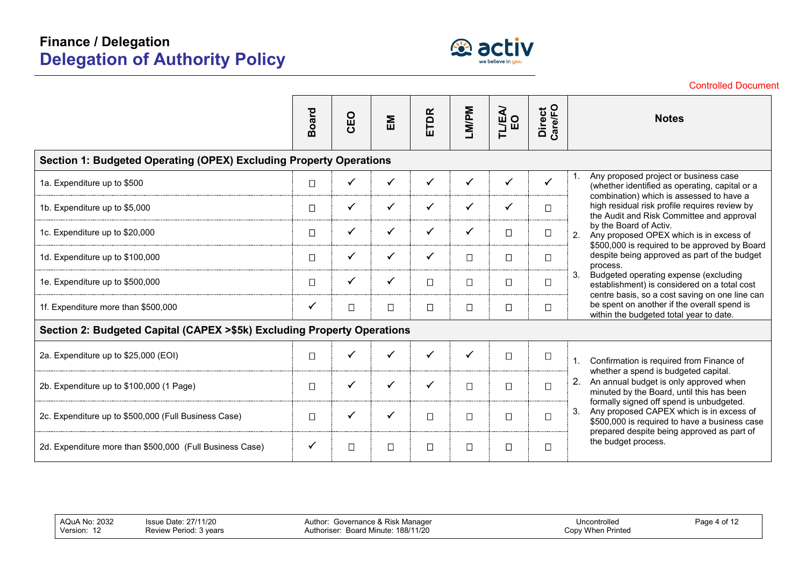

|                                                                         |              |              |              |              |              |              |                   | ו ווטטטע וטעווט וווע                                                                                                                          |
|-------------------------------------------------------------------------|--------------|--------------|--------------|--------------|--------------|--------------|-------------------|-----------------------------------------------------------------------------------------------------------------------------------------------|
|                                                                         | <b>Board</b> | CEO          | EM           | ETDR         | LM/PM        | TLEA/<br>EO  | Direct<br>Care/FO | <b>Notes</b>                                                                                                                                  |
| Section 1: Budgeted Operating (OPEX) Excluding Property Operations      |              |              |              |              |              |              |                   |                                                                                                                                               |
| 1a. Expenditure up to \$500                                             | $\Box$       | $\checkmark$ | $\checkmark$ | $\checkmark$ | $\checkmark$ | $\checkmark$ | $\checkmark$      | Any proposed project or business case<br>(whether identified as operating, capital or a                                                       |
| 1b. Expenditure up to \$5,000                                           | $\Box$       | $\checkmark$ | $\checkmark$ | $\checkmark$ | $\checkmark$ | $\checkmark$ | $\Box$            | combination) which is assessed to have a<br>high residual risk profile requires review by<br>the Audit and Risk Committee and approval        |
| 1c. Expenditure up to \$20,000                                          | $\Box$       | $\checkmark$ | $\checkmark$ | $\checkmark$ | $\checkmark$ | $\Box$       | $\Box$            | by the Board of Activ.<br>Any proposed OPEX which is in excess of<br>2.<br>\$500,000 is required to be approved by Board                      |
| 1d. Expenditure up to \$100,000                                         | $\Box$       | $\checkmark$ | $\checkmark$ | $\checkmark$ | $\Box$       | $\Box$       | $\Box$            | despite being approved as part of the budget<br>process.                                                                                      |
| 1e. Expenditure up to \$500,000                                         | $\Box$       | $\checkmark$ | $\checkmark$ | $\Box$       | $\Box$       | $\Box$       | $\Box$            | Budgeted operating expense (excluding<br>3.<br>establishment) is considered on a total cost<br>centre basis, so a cost saving on one line can |
| 1f. Expenditure more than \$500,000                                     | $\checkmark$ | $\Box$       | $\Box$       | $\Box$       | $\Box$       | $\Box$       | $\Box$            | be spent on another if the overall spend is<br>within the budgeted total year to date.                                                        |
| Section 2: Budgeted Capital (CAPEX >\$5k) Excluding Property Operations |              |              |              |              |              |              |                   |                                                                                                                                               |
| 2a. Expenditure up to \$25,000 (EOI)                                    | $\Box$       | $\checkmark$ | $\checkmark$ | $\checkmark$ | $\checkmark$ | $\Box$       | $\Box$            | Confirmation is required from Finance of<br>1.                                                                                                |
| 2b. Expenditure up to \$100,000 (1 Page)                                | $\Box$       | $\checkmark$ | $\checkmark$ | $\checkmark$ | $\Box$       | $\Box$       | $\Box$            | whether a spend is budgeted capital.<br>An annual budget is only approved when<br>2.<br>minuted by the Board, until this has been             |
| 2c. Expenditure up to \$500,000 (Full Business Case)                    | $\Box$       | $\checkmark$ | $\checkmark$ | $\Box$       | $\Box$       | $\Box$       | $\Box$            | formally signed off spend is unbudgeted.<br>Any proposed CAPEX which is in excess of<br>3.<br>\$500,000 is required to have a business case   |
| 2d. Expenditure more than \$500,000 (Full Business Case)                | $\checkmark$ | $\Box$       | $\Box$       | $\Box$       | П            | $\Box$       | □                 | prepared despite being approved as part of<br>the budget process.                                                                             |

Author: Governance & Risk Manager Authoriser: Board Minute: 188/11/20

Controlled Document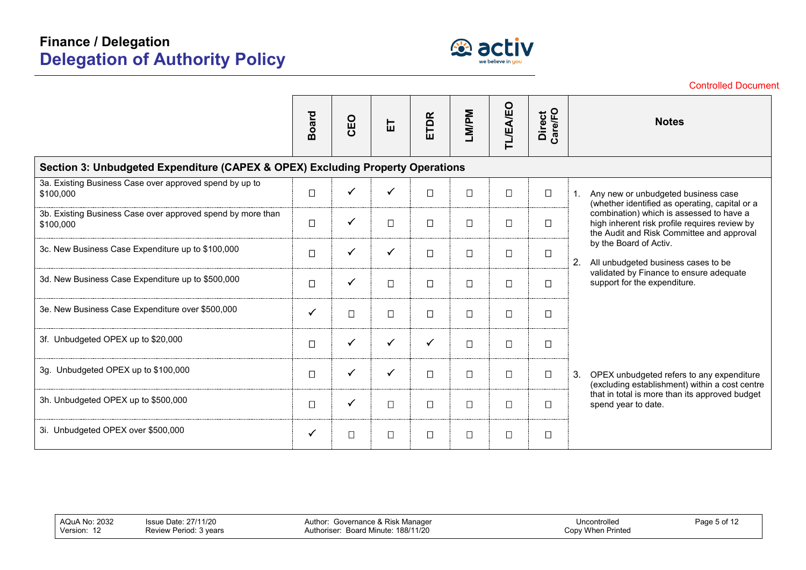

|                                                                                | <b>Board</b> | CEO          | こ            | <b>ETDR</b>  | LM/PM  | TL/EA/EO | Direct<br>Care/FO | <b>Notes</b>                                                                                                                           |  |  |  |  |  |
|--------------------------------------------------------------------------------|--------------|--------------|--------------|--------------|--------|----------|-------------------|----------------------------------------------------------------------------------------------------------------------------------------|--|--|--|--|--|
| Section 3: Unbudgeted Expenditure (CAPEX & OPEX) Excluding Property Operations |              |              |              |              |        |          |                   |                                                                                                                                        |  |  |  |  |  |
| 3a. Existing Business Case over approved spend by up to<br>\$100,000           | $\Box$       | ✓            | ✓            | $\Box$       | $\Box$ | $\Box$   | $\Box$            | Any new or unbudgeted business case<br>1.<br>(whether identified as operating, capital or a                                            |  |  |  |  |  |
| 3b. Existing Business Case over approved spend by more than<br>\$100,000       | $\Box$       | $\checkmark$ | $\Box$       | $\Box$       | $\Box$ | $\Box$   | $\Box$            | combination) which is assessed to have a<br>high inherent risk profile requires review by<br>the Audit and Risk Committee and approval |  |  |  |  |  |
| 3c. New Business Case Expenditure up to \$100,000                              | $\Box$       | $\checkmark$ | $\checkmark$ | $\Box$       | $\Box$ | $\Box$   | $\Box$            | by the Board of Activ.<br>2.<br>All unbudgeted business cases to be                                                                    |  |  |  |  |  |
| 3d. New Business Case Expenditure up to \$500,000                              | $\Box$       | ✓            | $\Box$       | $\Box$       | $\Box$ | $\Box$   | $\Box$            | validated by Finance to ensure adequate<br>support for the expenditure.                                                                |  |  |  |  |  |
| 3e. New Business Case Expenditure over \$500,000                               | $\checkmark$ | $\Box$       | $\Box$       | $\Box$       | $\Box$ | $\Box$   | $\Box$            |                                                                                                                                        |  |  |  |  |  |
| 3f. Unbudgeted OPEX up to \$20,000                                             | $\Box$       | $\checkmark$ | $\checkmark$ | $\checkmark$ | $\Box$ | $\Box$   | $\Box$            |                                                                                                                                        |  |  |  |  |  |
| 3g. Unbudgeted OPEX up to \$100,000                                            | $\Box$       | $\checkmark$ | $\checkmark$ | $\Box$       | $\Box$ | $\Box$   | $\Box$            | 3.<br>OPEX unbudgeted refers to any expenditure<br>(excluding establishment) within a cost centre                                      |  |  |  |  |  |
| 3h. Unbudgeted OPEX up to \$500,000                                            | $\Box$       | $\checkmark$ | $\Box$       | $\Box$       | $\Box$ | $\Box$   | $\Box$            | that in total is more than its approved budget<br>spend year to date.                                                                  |  |  |  |  |  |
| 3i. Unbudgeted OPEX over \$500,000                                             | $\checkmark$ | $\Box$       | $\Box$       | $\Box$       | $\Box$ | $\Box$   | $\Box$            |                                                                                                                                        |  |  |  |  |  |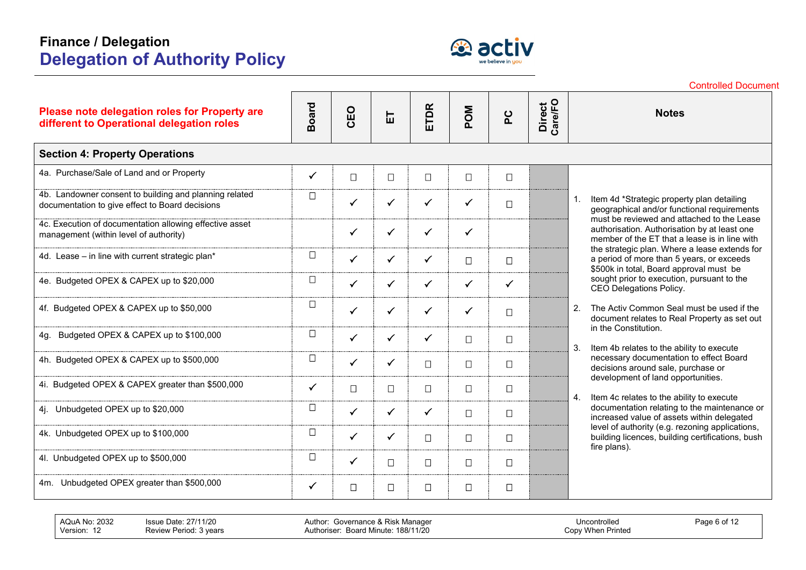

|                                                                                                           |              |              |              |              |              |              |                   | <b>Controlled Document</b>                                                                                                                  |
|-----------------------------------------------------------------------------------------------------------|--------------|--------------|--------------|--------------|--------------|--------------|-------------------|---------------------------------------------------------------------------------------------------------------------------------------------|
| Please note delegation roles for Property are<br>different to Operational delegation roles                | <b>Board</b> | CEO          | 岀            | ETDR         | <b>MOd</b>   | ပို          | Direct<br>Care/FO | <b>Notes</b>                                                                                                                                |
| <b>Section 4: Property Operations</b>                                                                     |              |              |              |              |              |              |                   |                                                                                                                                             |
| 4a. Purchase/Sale of Land and or Property                                                                 | $\checkmark$ | $\Box$       | $\Box$       | $\Box$       | $\Box$       | $\Box$       |                   |                                                                                                                                             |
| 4b. Landowner consent to building and planning related<br>documentation to give effect to Board decisions | $\Box$       | $\checkmark$ | $\checkmark$ | $\checkmark$ | $\checkmark$ | $\Box$       |                   | Item 4d *Strategic property plan detailing<br>geographical and/or functional requirements                                                   |
| 4c. Execution of documentation allowing effective asset<br>management (within level of authority)         |              | $\checkmark$ | $\checkmark$ | $\checkmark$ | $\checkmark$ |              |                   | must be reviewed and attached to the Lease<br>authorisation. Authorisation by at least one<br>member of the ET that a lease is in line with |
| 4d. Lease - in line with current strategic plan*                                                          | $\Box$       | $\checkmark$ | $\checkmark$ | $\checkmark$ | $\Box$       | $\Box$       |                   | the strategic plan. Where a lease extends for<br>a period of more than 5 years, or exceeds<br>\$500k in total, Board approval must be       |
| 4e. Budgeted OPEX & CAPEX up to \$20,000                                                                  | $\Box$       | $\checkmark$ | $\checkmark$ | $\checkmark$ | $\checkmark$ | $\checkmark$ |                   | sought prior to execution, pursuant to the<br>CEO Delegations Policy.                                                                       |
| 4f. Budgeted OPEX & CAPEX up to \$50,000                                                                  | $\Box$       | $\checkmark$ | $\checkmark$ | $\checkmark$ | $\checkmark$ | $\Box$       |                   | The Activ Common Seal must be used if the<br>$\overline{2}$ .<br>document relates to Real Property as set out                               |
| Budgeted OPEX & CAPEX up to \$100,000<br>4q.                                                              | $\Box$       | $\checkmark$ | $\checkmark$ | $\checkmark$ | $\Box$       | $\Box$       |                   | in the Constitution.<br>3.<br>Item 4b relates to the ability to execute                                                                     |
| 4h. Budgeted OPEX & CAPEX up to \$500,000                                                                 | $\Box$       | $\checkmark$ | $\checkmark$ | $\Box$       | $\Box$       | $\Box$       |                   | necessary documentation to effect Board<br>decisions around sale, purchase or                                                               |
| 4i. Budgeted OPEX & CAPEX greater than \$500,000                                                          | $\checkmark$ | $\Box$       | $\Box$       | $\Box$       | $\Box$       | $\Box$       |                   | development of land opportunities.<br>Item 4c relates to the ability to execute<br>4.                                                       |
| Unbudgeted OPEX up to \$20,000<br>4j.                                                                     | $\Box$       | $\checkmark$ | $\checkmark$ | ✓            | $\Box$       | $\Box$       |                   | documentation relating to the maintenance or<br>increased value of assets within delegated                                                  |
| 4k. Unbudgeted OPEX up to \$100,000                                                                       | $\Box$       | $\checkmark$ | $\checkmark$ | $\Box$       | $\Box$       | $\Box$       |                   | level of authority (e.g. rezoning applications,<br>building licences, building certifications, bush<br>fire plans).                         |
| 4I. Unbudgeted OPEX up to \$500,000                                                                       | $\Box$       | $\checkmark$ | $\Box$       | $\Box$       | $\Box$       | $\Box$       |                   |                                                                                                                                             |
| 4m. Unbudgeted OPEX greater than \$500,000                                                                | $\checkmark$ | $\Box$       | $\Box$       | $\Box$       | $\Box$       | $\Box$       |                   |                                                                                                                                             |

AQuA No: 2032 Issue Date: 27/11/20<br>Version: 12 Review Period: 3 year Review Period: 3 years

Author: Governance & Risk Manager Authoriser: Board Minute: 188/11/20

Uncontrolled Copy When Printed Page 6 of 12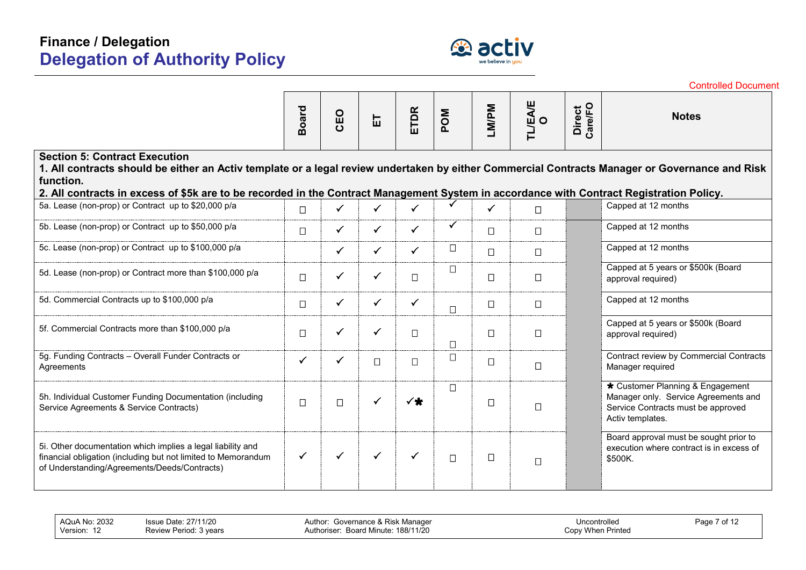

|                                                                                                                                                                                                                                                                                                                                                 |              |              |              |              |              |              |                           |                   | <b>Controlled Document</b>                                                                                                         |
|-------------------------------------------------------------------------------------------------------------------------------------------------------------------------------------------------------------------------------------------------------------------------------------------------------------------------------------------------|--------------|--------------|--------------|--------------|--------------|--------------|---------------------------|-------------------|------------------------------------------------------------------------------------------------------------------------------------|
|                                                                                                                                                                                                                                                                                                                                                 | <b>Board</b> | CEO          | 品            | ETDR         | MOd          | LM/PM        | <b>TL/EA/E</b><br>$\circ$ | Direct<br>Care/FO | <b>Notes</b>                                                                                                                       |
| <b>Section 5: Contract Execution</b><br>1. All contracts should be either an Activ template or a legal review undertaken by either Commercial Contracts Manager or Governance and Risk<br>function.<br>2. All contracts in excess of \$5k are to be recorded in the Contract Management System in accordance with Contract Registration Policy. |              |              |              |              |              |              |                           |                   |                                                                                                                                    |
| 5a. Lease (non-prop) or Contract up to \$20,000 p/a                                                                                                                                                                                                                                                                                             | $\Box$       | $\checkmark$ | $\checkmark$ | $\checkmark$ |              | $\checkmark$ | $\Box$                    |                   | Capped at 12 months                                                                                                                |
| 5b. Lease (non-prop) or Contract up to \$50,000 p/a                                                                                                                                                                                                                                                                                             | $\Box$       | $\checkmark$ | $\checkmark$ | $\checkmark$ | $\checkmark$ | $\Box$       | $\Box$                    |                   | Capped at 12 months                                                                                                                |
| 5c. Lease (non-prop) or Contract up to \$100,000 p/a                                                                                                                                                                                                                                                                                            |              | ✓            | $\checkmark$ | $\checkmark$ | $\Box$       | $\Box$       | $\Box$                    |                   | Capped at 12 months                                                                                                                |
| 5d. Lease (non-prop) or Contract more than \$100,000 p/a                                                                                                                                                                                                                                                                                        | $\Box$       | $\checkmark$ | $\checkmark$ | $\Box$       | $\Box$       | $\Box$       | $\Box$                    |                   | Capped at 5 years or \$500k (Board<br>approval required)                                                                           |
| 5d. Commercial Contracts up to \$100,000 p/a                                                                                                                                                                                                                                                                                                    | $\Box$       | $\checkmark$ | $\checkmark$ | $\checkmark$ | $\Box$       | $\Box$       | $\Box$                    |                   | Capped at 12 months                                                                                                                |
| 5f. Commercial Contracts more than \$100,000 p/a                                                                                                                                                                                                                                                                                                | $\Box$       | $\checkmark$ | ✓            | □            | $\Box$       | $\Box$       | $\Box$                    |                   | Capped at 5 years or \$500k (Board<br>approval required)                                                                           |
| 5g. Funding Contracts - Overall Funder Contracts or<br>Agreements                                                                                                                                                                                                                                                                               | $\checkmark$ | $\checkmark$ | $\Box$       | $\Box$       | $\Box$       | $\Box$       | $\Box$                    |                   | Contract review by Commercial Contracts<br>Manager required                                                                        |
| 5h. Individual Customer Funding Documentation (including<br>Service Agreements & Service Contracts)                                                                                                                                                                                                                                             | $\Box$       | $\Box$       | $\checkmark$ | $\checkmark$ | $\Box$       | $\Box$       | $\Box$                    |                   | * Customer Planning & Engagement<br>Manager only. Service Agreements and<br>Service Contracts must be approved<br>Activ templates. |
| 5i. Other documentation which implies a legal liability and<br>financial obligation (including but not limited to Memorandum<br>of Understanding/Agreements/Deeds/Contracts)                                                                                                                                                                    | $\checkmark$ | $\checkmark$ | $\checkmark$ | $\checkmark$ | $\Box$       | $\Box$       | $\Box$                    |                   | Board approval must be sought prior to<br>execution where contract is in excess of<br>\$500K.                                      |

AQuA No: 2032 Issue Date: 27/11/20<br>Version: 12 Review Period: 3 year

Review Period: 3 years

Author: Governance & Risk Manager Authoriser: Board Minute: 188/11/20

Uncontrolled Copy When Printed Page 7 of 12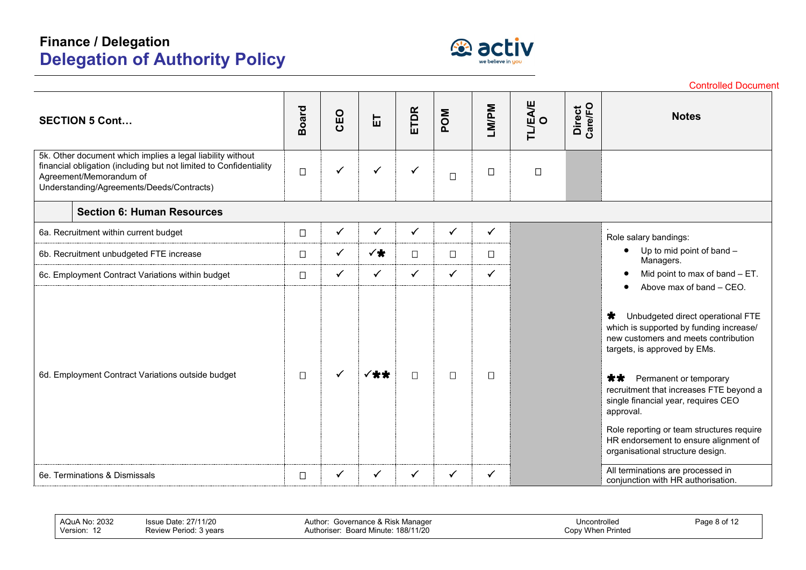

|                                                                                                                                                                                                          |              |              |              |              |              |              |              |                   | <b>Controlled Document</b>                                                                                                                                         |
|----------------------------------------------------------------------------------------------------------------------------------------------------------------------------------------------------------|--------------|--------------|--------------|--------------|--------------|--------------|--------------|-------------------|--------------------------------------------------------------------------------------------------------------------------------------------------------------------|
| <b>SECTION 5 Cont</b>                                                                                                                                                                                    | <b>Board</b> | CEO          | 品            | ETDR         | MOd          | LM/PM        | TL/EA/E<br>O | Direct<br>Care/FO | <b>Notes</b>                                                                                                                                                       |
| 5k. Other document which implies a legal liability without<br>financial obligation (including but not limited to Confidentiality<br>Agreement/Memorandum of<br>Understanding/Agreements/Deeds/Contracts) | $\Box$       | ✓            | $\checkmark$ | $\checkmark$ | $\Box$       | $\Box$       | $\Box$       |                   |                                                                                                                                                                    |
| <b>Section 6: Human Resources</b>                                                                                                                                                                        |              |              |              |              |              |              |              |                   |                                                                                                                                                                    |
| 6a. Recruitment within current budget                                                                                                                                                                    | $\Box$       | ✓            | $\checkmark$ | $\checkmark$ | $\checkmark$ | $\checkmark$ |              |                   | Role salary bandings:                                                                                                                                              |
| 6b. Recruitment unbudgeted FTE increase                                                                                                                                                                  | $\Box$       | $\checkmark$ | ✓╈           | $\Box$       | $\Box$       | $\Box$       |              |                   | Up to mid point of band $-$<br>$\bullet$<br>Managers.                                                                                                              |
| 6c. Employment Contract Variations within budget                                                                                                                                                         | $\Box$       | $\checkmark$ | $\checkmark$ | $\checkmark$ | $\checkmark$ | $\checkmark$ |              |                   | Mid point to max of band - ET.<br>Above max of band - CEO.                                                                                                         |
|                                                                                                                                                                                                          |              |              |              |              |              |              |              |                   | $\bigstar$<br>Unbudgeted direct operational FTE<br>which is supported by funding increase/<br>new customers and meets contribution<br>targets, is approved by EMs. |
| 6d. Employment Contract Variations outside budget                                                                                                                                                        | $\Box$       |              | ✓╈╈          | $\Box$       | $\Box$       | $\Box$       |              |                   | **<br>Permanent or temporary<br>recruitment that increases FTE beyond a<br>single financial year, requires CEO<br>approval.                                        |
|                                                                                                                                                                                                          |              |              |              |              |              |              |              |                   | Role reporting or team structures require<br>HR endorsement to ensure alignment of<br>organisational structure design.                                             |
| 6e. Terminations & Dismissals                                                                                                                                                                            | $\Box$       | $\checkmark$ | $\checkmark$ | $\checkmark$ | ✓            | ✓            |              |                   | All terminations are processed in<br>conjunction with HR authorisation.                                                                                            |

| 2032<br>AQuA No:<br>Version:<br>╶╹ | .27/11/20<br>.ssue<br>Period<br>vears<br>Review | Governance & Risk Manager<br>Author:<br>188/11/20<br>Board Minute:<br>thoriser: | Uncontrolled<br><b>When Printed</b><br>√opٽ | ∹aαe<br>8 of |
|------------------------------------|-------------------------------------------------|---------------------------------------------------------------------------------|---------------------------------------------|--------------|
|------------------------------------|-------------------------------------------------|---------------------------------------------------------------------------------|---------------------------------------------|--------------|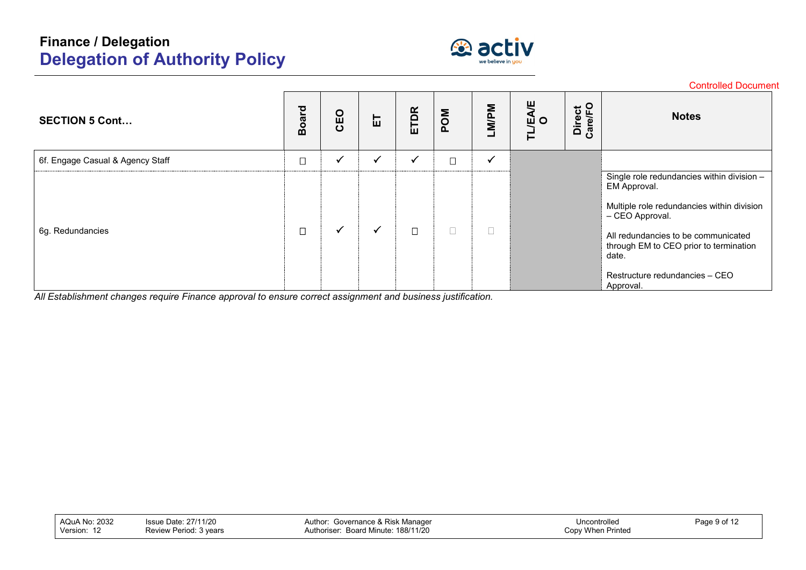

|                                  |              |              |              |        |            |              |                |                          | <b>Controlled Document</b>                                                             |
|----------------------------------|--------------|--------------|--------------|--------|------------|--------------|----------------|--------------------------|----------------------------------------------------------------------------------------|
| <b>SECTION 5 Cont</b>            | <b>Board</b> | CEO          | こ            | ETDR   | <b>MOd</b> | LM/PM        | 빚<br>ற் ഠ<br>ᄅ | Direct<br>Care/FO<br>ပြီ | <b>Notes</b>                                                                           |
| 6f. Engage Casual & Agency Staff | $\Box$       | $\checkmark$ | $\checkmark$ |        | $\Box$     | $\checkmark$ |                |                          |                                                                                        |
|                                  |              |              |              |        |            |              |                |                          | Single role redundancies within division -<br>EM Approval.                             |
|                                  |              |              |              |        |            |              |                |                          | Multiple role redundancies within division<br>- CEO Approval.                          |
| 6g. Redundancies                 | $\Box$       | $\checkmark$ | $\checkmark$ | $\Box$ | $\Box$     |              |                |                          | All redundancies to be communicated<br>through EM to CEO prior to termination<br>date. |
|                                  |              |              |              |        |            |              |                |                          | Restructure redundancies - CEO<br>Approval.                                            |

*All Establishment changes require Finance approval to ensure correct assignment and business justification.*

| <b>AQuA No: 2032</b><br>Version: | Issue Date: 27/11/20<br>Review Period: 3 years | . Governance & Risk Manager<br>Author:<br>Board Minute: 188/11/20<br>Authoriser | Uncontrolled<br>Copy When Printed | Page 9 of 12 |
|----------------------------------|------------------------------------------------|---------------------------------------------------------------------------------|-----------------------------------|--------------|
|----------------------------------|------------------------------------------------|---------------------------------------------------------------------------------|-----------------------------------|--------------|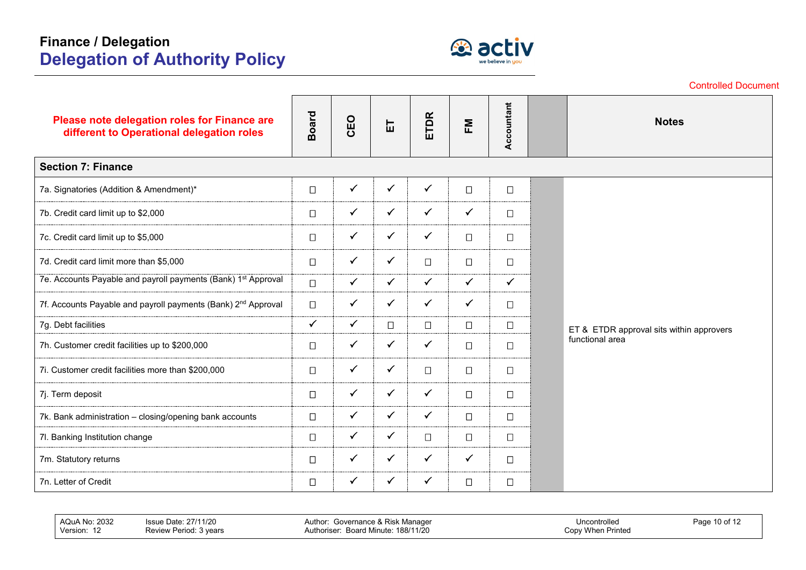

|                                                                                           | <b>Controlled Document</b> |              |              |              |              |              |                 |                                          |  |  |
|-------------------------------------------------------------------------------------------|----------------------------|--------------|--------------|--------------|--------------|--------------|-----------------|------------------------------------------|--|--|
| Please note delegation roles for Finance are<br>different to Operational delegation roles | <b>Board</b>               | CEO          | こ            | ETDR         | FΜ           | Accountant   |                 | <b>Notes</b>                             |  |  |
| <b>Section 7: Finance</b>                                                                 |                            |              |              |              |              |              |                 |                                          |  |  |
| 7a. Signatories (Addition & Amendment)*                                                   | $\Box$                     | $\checkmark$ | $\checkmark$ | $\checkmark$ | $\Box$       | $\Box$       |                 |                                          |  |  |
| 7b. Credit card limit up to \$2,000                                                       | $\Box$                     | $\checkmark$ | $\checkmark$ | $\checkmark$ | $\checkmark$ | $\Box$       |                 |                                          |  |  |
| 7c. Credit card limit up to \$5,000                                                       | $\Box$                     | $\checkmark$ | $\checkmark$ | $\checkmark$ | $\Box$       | $\Box$       |                 |                                          |  |  |
| 7d. Credit card limit more than \$5,000                                                   | $\Box$                     | $\checkmark$ | $\checkmark$ | $\Box$       | $\Box$       | $\Box$       |                 |                                          |  |  |
| 7e. Accounts Payable and payroll payments (Bank) 1 <sup>st</sup> Approval                 | $\Box$                     | $\checkmark$ | $\checkmark$ | $\checkmark$ | $\checkmark$ | $\checkmark$ |                 |                                          |  |  |
| 7f. Accounts Payable and payroll payments (Bank) 2 <sup>nd</sup> Approval                 | $\Box$                     | $\checkmark$ | $\checkmark$ | $\checkmark$ | $\checkmark$ | $\Box$       |                 |                                          |  |  |
| 7g. Debt facilities                                                                       | $\checkmark$               | $\checkmark$ | $\Box$       | $\Box$       | $\Box$       | $\Box$       |                 | ET & ETDR approval sits within approvers |  |  |
| 7h. Customer credit facilities up to \$200,000                                            | $\Box$                     | $\checkmark$ | $\checkmark$ | $\checkmark$ | $\Box$       | $\Box$       | functional area |                                          |  |  |
| 7i. Customer credit facilities more than \$200,000                                        | $\Box$                     | $\checkmark$ | $\checkmark$ | $\Box$       | $\Box$       | $\Box$       |                 |                                          |  |  |
| 7j. Term deposit                                                                          | $\Box$                     | $\checkmark$ | $\checkmark$ | $\checkmark$ | $\Box$       | $\Box$       |                 |                                          |  |  |
| 7k. Bank administration - closing/opening bank accounts                                   | $\Box$                     | $\checkmark$ | $\checkmark$ | $\checkmark$ | $\Box$       | $\Box$       |                 |                                          |  |  |
| 7l. Banking Institution change                                                            | $\Box$                     | $\checkmark$ | $\checkmark$ | $\Box$       | $\Box$       | $\Box$       |                 |                                          |  |  |
| 7m. Statutory returns                                                                     | $\Box$                     | $\checkmark$ | $\checkmark$ | $\checkmark$ | $\checkmark$ | $\Box$       |                 |                                          |  |  |
| 7n. Letter of Credit                                                                      | $\Box$                     | $\checkmark$ | $\checkmark$ | $\checkmark$ | $\Box$       | $\Box$       |                 |                                          |  |  |

AQuA No: 2032 Issue Date: 27/11/20<br>Version: 12 Review Period: 3 year Review Period: 3 years Author: Governance & Risk Manager Authoriser: Board Minute: 188/11/20 Uncontrolled Copy When Printed Page 10 of 12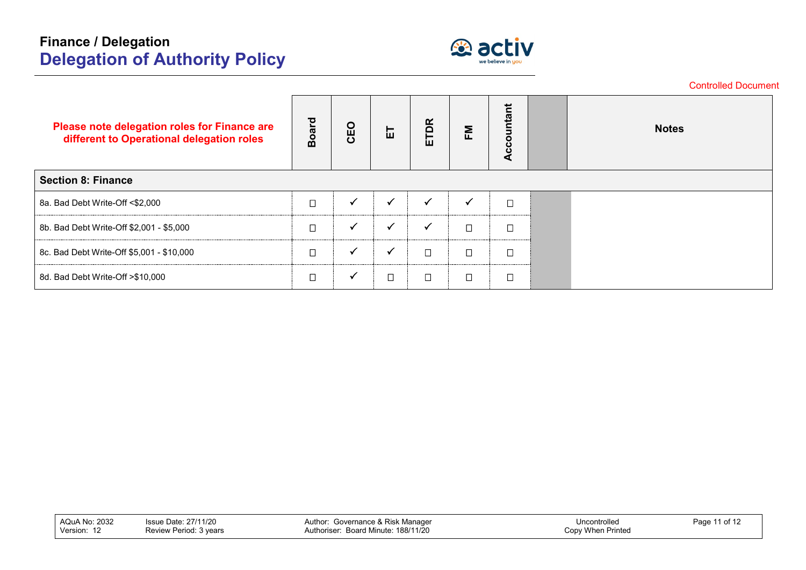

|                                                                                           |              |              |              |              |                         |            |  | <b>Controlled Document</b> |  |  |  |
|-------------------------------------------------------------------------------------------|--------------|--------------|--------------|--------------|-------------------------|------------|--|----------------------------|--|--|--|
| Please note delegation roles for Finance are<br>different to Operational delegation roles | <b>Board</b> | CEO          | こ            | <b>ETDR</b>  | $\mathsf{F} \mathsf{M}$ | Accountant |  | <b>Notes</b>               |  |  |  |
| <b>Section 8: Finance</b>                                                                 |              |              |              |              |                         |            |  |                            |  |  |  |
| 8a. Bad Debt Write-Off <\$2,000                                                           | $\Box$       | $\checkmark$ | $\checkmark$ | ✓            | v                       | $\Box$     |  |                            |  |  |  |
| 8b. Bad Debt Write-Off \$2,001 - \$5,000                                                  | $\Box$       | $\checkmark$ | $\checkmark$ | $\checkmark$ | $\Box$                  | $\Box$     |  |                            |  |  |  |
| 8c. Bad Debt Write-Off \$5,001 - \$10,000                                                 | $\Box$       | $\checkmark$ | √            | $\Box$       | $\Box$                  | $\Box$     |  |                            |  |  |  |
| 8d. Bad Debt Write-Off >\$10,000                                                          | $\Box$       | $\checkmark$ | $\Box$       | $\Box$       | $\Box$                  | $\Box$     |  |                            |  |  |  |

| AQuA No: 2032<br>Version: | Issue Date: 27/11/20<br>Review Period: 3 years | Governance & Risk Manager<br>Author:<br>: Board Minute: 188/11/20<br>Authoriser | Uncontrolled<br>Copy When Printed | Page 11 of 12 |
|---------------------------|------------------------------------------------|---------------------------------------------------------------------------------|-----------------------------------|---------------|
|                           |                                                |                                                                                 |                                   |               |